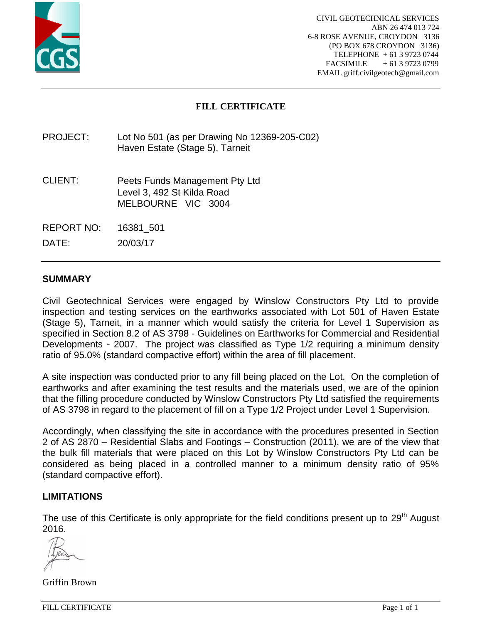

# **FILL CERTIFICATE**

PROJECT: Lot No 501 (as per Drawing No 12369-205-C02) Haven Estate (Stage 5), Tarneit

- CLIENT: Peets Funds Management Pty Ltd Level 3, 492 St Kilda Road MELBOURNE VIC 3004
- REPORT NO: 16381\_501

DATE: 20/03/17

## **SUMMARY**

Civil Geotechnical Services were engaged by Winslow Constructors Pty Ltd to provide inspection and testing services on the earthworks associated with Lot 501 of Haven Estate (Stage 5), Tarneit, in a manner which would satisfy the criteria for Level 1 Supervision as specified in Section 8.2 of AS 3798 - Guidelines on Earthworks for Commercial and Residential Developments - 2007. The project was classified as Type 1/2 requiring a minimum density ratio of 95.0% (standard compactive effort) within the area of fill placement.

A site inspection was conducted prior to any fill being placed on the Lot. On the completion of earthworks and after examining the test results and the materials used, we are of the opinion that the filling procedure conducted by Winslow Constructors Pty Ltd satisfied the requirements of AS 3798 in regard to the placement of fill on a Type 1/2 Project under Level 1 Supervision.

Accordingly, when classifying the site in accordance with the procedures presented in Section 2 of AS 2870 – Residential Slabs and Footings – Construction (2011), we are of the view that the bulk fill materials that were placed on this Lot by Winslow Constructors Pty Ltd can be considered as being placed in a controlled manner to a minimum density ratio of 95% (standard compactive effort).

### **LIMITATIONS**

The use of this Certificate is only appropriate for the field conditions present up to 29<sup>th</sup> August 2016.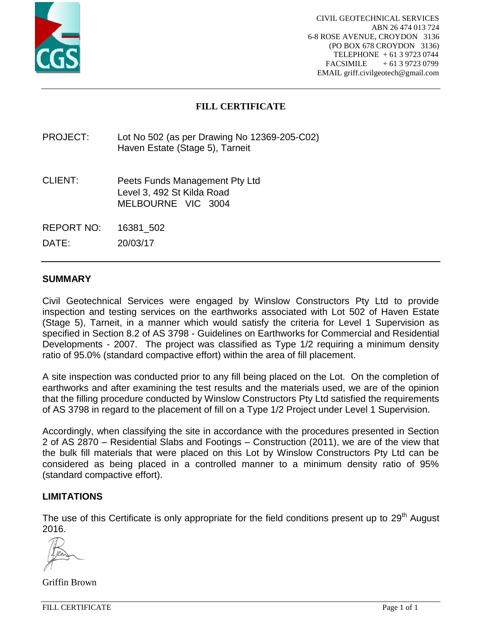

# **FILL CERTIFICATE**

PROJECT: Lot No 502 (as per Drawing No 12369-205-C02) Haven Estate (Stage 5), Tarneit

- CLIENT: Peets Funds Management Pty Ltd Level 3, 492 St Kilda Road MELBOURNE VIC 3004
- REPORT NO: 16381\_502

DATE: 20/03/17

### **SUMMARY**

Civil Geotechnical Services were engaged by Winslow Constructors Pty Ltd to provide inspection and testing services on the earthworks associated with Lot 502 of Haven Estate (Stage 5), Tarneit, in a manner which would satisfy the criteria for Level 1 Supervision as specified in Section 8.2 of AS 3798 - Guidelines on Earthworks for Commercial and Residential Developments - 2007. The project was classified as Type 1/2 requiring a minimum density ratio of 95.0% (standard compactive effort) within the area of fill placement.

A site inspection was conducted prior to any fill being placed on the Lot. On the completion of earthworks and after examining the test results and the materials used, we are of the opinion that the filling procedure conducted by Winslow Constructors Pty Ltd satisfied the requirements of AS 3798 in regard to the placement of fill on a Type 1/2 Project under Level 1 Supervision.

Accordingly, when classifying the site in accordance with the procedures presented in Section 2 of AS 2870 – Residential Slabs and Footings – Construction (2011), we are of the view that the bulk fill materials that were placed on this Lot by Winslow Constructors Pty Ltd can be considered as being placed in a controlled manner to a minimum density ratio of 95% (standard compactive effort).

### **LIMITATIONS**

The use of this Certificate is only appropriate for the field conditions present up to 29<sup>th</sup> August 2016.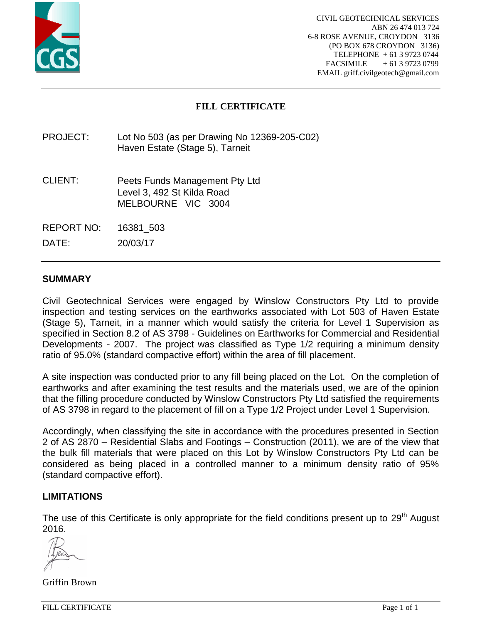

# **FILL CERTIFICATE**

PROJECT: Lot No 503 (as per Drawing No 12369-205-C02) Haven Estate (Stage 5), Tarneit

- CLIENT: Peets Funds Management Pty Ltd Level 3, 492 St Kilda Road MELBOURNE VIC 3004
- REPORT NO: 16381\_503

DATE: 20/03/17

### **SUMMARY**

Civil Geotechnical Services were engaged by Winslow Constructors Pty Ltd to provide inspection and testing services on the earthworks associated with Lot 503 of Haven Estate (Stage 5), Tarneit, in a manner which would satisfy the criteria for Level 1 Supervision as specified in Section 8.2 of AS 3798 - Guidelines on Earthworks for Commercial and Residential Developments - 2007. The project was classified as Type 1/2 requiring a minimum density ratio of 95.0% (standard compactive effort) within the area of fill placement.

A site inspection was conducted prior to any fill being placed on the Lot. On the completion of earthworks and after examining the test results and the materials used, we are of the opinion that the filling procedure conducted by Winslow Constructors Pty Ltd satisfied the requirements of AS 3798 in regard to the placement of fill on a Type 1/2 Project under Level 1 Supervision.

Accordingly, when classifying the site in accordance with the procedures presented in Section 2 of AS 2870 – Residential Slabs and Footings – Construction (2011), we are of the view that the bulk fill materials that were placed on this Lot by Winslow Constructors Pty Ltd can be considered as being placed in a controlled manner to a minimum density ratio of 95% (standard compactive effort).

### **LIMITATIONS**

The use of this Certificate is only appropriate for the field conditions present up to 29<sup>th</sup> August 2016.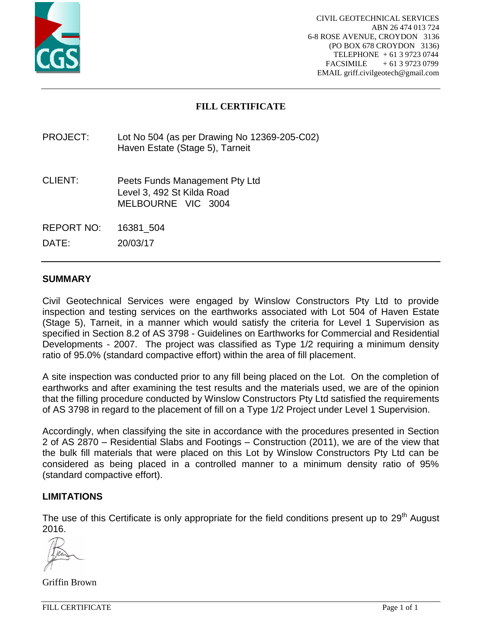

# **FILL CERTIFICATE**

PROJECT: Lot No 504 (as per Drawing No 12369-205-C02) Haven Estate (Stage 5), Tarneit

- CLIENT: Peets Funds Management Pty Ltd Level 3, 492 St Kilda Road MELBOURNE VIC 3004
- REPORT NO: 16381\_504

DATE: 20/03/17

### **SUMMARY**

Civil Geotechnical Services were engaged by Winslow Constructors Pty Ltd to provide inspection and testing services on the earthworks associated with Lot 504 of Haven Estate (Stage 5), Tarneit, in a manner which would satisfy the criteria for Level 1 Supervision as specified in Section 8.2 of AS 3798 - Guidelines on Earthworks for Commercial and Residential Developments - 2007. The project was classified as Type 1/2 requiring a minimum density ratio of 95.0% (standard compactive effort) within the area of fill placement.

A site inspection was conducted prior to any fill being placed on the Lot. On the completion of earthworks and after examining the test results and the materials used, we are of the opinion that the filling procedure conducted by Winslow Constructors Pty Ltd satisfied the requirements of AS 3798 in regard to the placement of fill on a Type 1/2 Project under Level 1 Supervision.

Accordingly, when classifying the site in accordance with the procedures presented in Section 2 of AS 2870 – Residential Slabs and Footings – Construction (2011), we are of the view that the bulk fill materials that were placed on this Lot by Winslow Constructors Pty Ltd can be considered as being placed in a controlled manner to a minimum density ratio of 95% (standard compactive effort).

### **LIMITATIONS**

The use of this Certificate is only appropriate for the field conditions present up to 29<sup>th</sup> August 2016.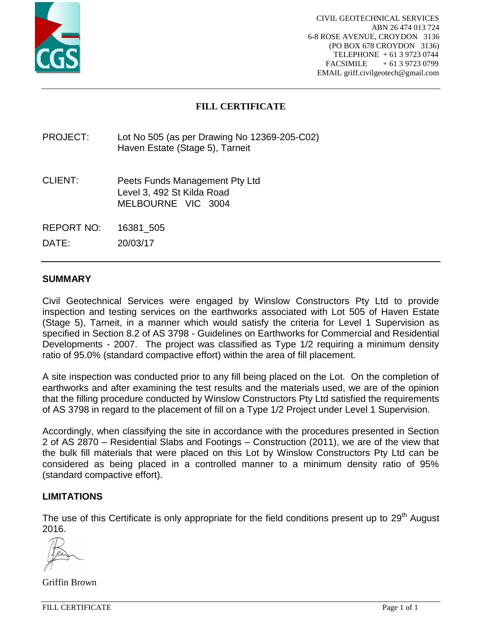

# **FILL CERTIFICATE**

PROJECT: Lot No 505 (as per Drawing No 12369-205-C02) Haven Estate (Stage 5), Tarneit

- CLIENT: Peets Funds Management Pty Ltd Level 3, 492 St Kilda Road MELBOURNE VIC 3004
- REPORT NO: 16381\_505

DATE: 20/03/17

### **SUMMARY**

Civil Geotechnical Services were engaged by Winslow Constructors Pty Ltd to provide inspection and testing services on the earthworks associated with Lot 505 of Haven Estate (Stage 5), Tarneit, in a manner which would satisfy the criteria for Level 1 Supervision as specified in Section 8.2 of AS 3798 - Guidelines on Earthworks for Commercial and Residential Developments - 2007. The project was classified as Type 1/2 requiring a minimum density ratio of 95.0% (standard compactive effort) within the area of fill placement.

A site inspection was conducted prior to any fill being placed on the Lot. On the completion of earthworks and after examining the test results and the materials used, we are of the opinion that the filling procedure conducted by Winslow Constructors Pty Ltd satisfied the requirements of AS 3798 in regard to the placement of fill on a Type 1/2 Project under Level 1 Supervision.

Accordingly, when classifying the site in accordance with the procedures presented in Section 2 of AS 2870 – Residential Slabs and Footings – Construction (2011), we are of the view that the bulk fill materials that were placed on this Lot by Winslow Constructors Pty Ltd can be considered as being placed in a controlled manner to a minimum density ratio of 95% (standard compactive effort).

### **LIMITATIONS**

The use of this Certificate is only appropriate for the field conditions present up to 29<sup>th</sup> August 2016.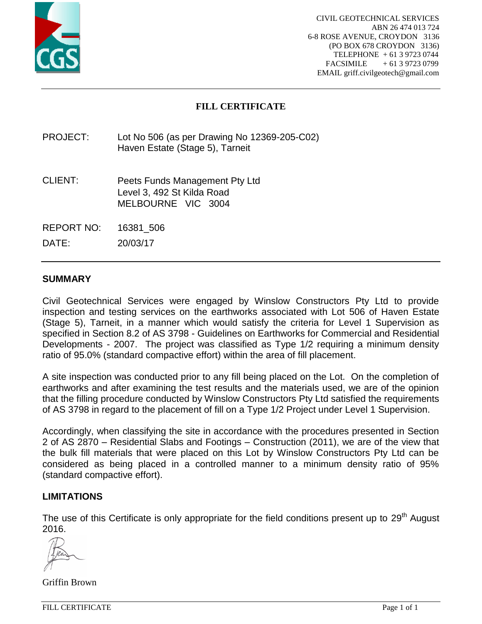

# **FILL CERTIFICATE**

PROJECT: Lot No 506 (as per Drawing No 12369-205-C02) Haven Estate (Stage 5), Tarneit

- CLIENT: Peets Funds Management Pty Ltd Level 3, 492 St Kilda Road MELBOURNE VIC 3004
- REPORT NO: 16381\_506

DATE: 20/03/17

### **SUMMARY**

Civil Geotechnical Services were engaged by Winslow Constructors Pty Ltd to provide inspection and testing services on the earthworks associated with Lot 506 of Haven Estate (Stage 5), Tarneit, in a manner which would satisfy the criteria for Level 1 Supervision as specified in Section 8.2 of AS 3798 - Guidelines on Earthworks for Commercial and Residential Developments - 2007. The project was classified as Type 1/2 requiring a minimum density ratio of 95.0% (standard compactive effort) within the area of fill placement.

A site inspection was conducted prior to any fill being placed on the Lot. On the completion of earthworks and after examining the test results and the materials used, we are of the opinion that the filling procedure conducted by Winslow Constructors Pty Ltd satisfied the requirements of AS 3798 in regard to the placement of fill on a Type 1/2 Project under Level 1 Supervision.

Accordingly, when classifying the site in accordance with the procedures presented in Section 2 of AS 2870 – Residential Slabs and Footings – Construction (2011), we are of the view that the bulk fill materials that were placed on this Lot by Winslow Constructors Pty Ltd can be considered as being placed in a controlled manner to a minimum density ratio of 95% (standard compactive effort).

### **LIMITATIONS**

The use of this Certificate is only appropriate for the field conditions present up to 29<sup>th</sup> August 2016.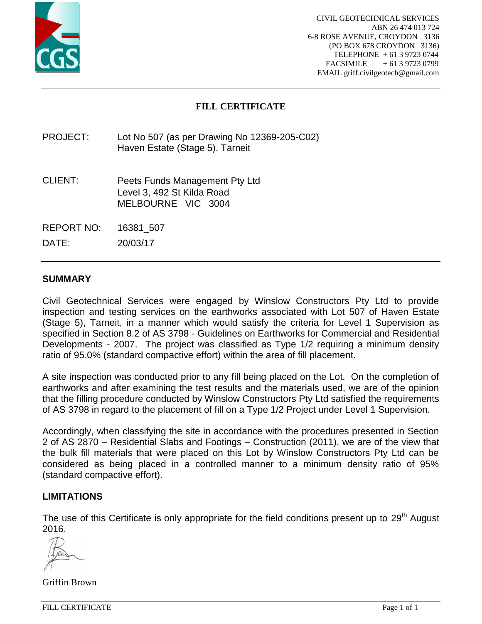

# **FILL CERTIFICATE**

PROJECT: Lot No 507 (as per Drawing No 12369-205-C02) Haven Estate (Stage 5), Tarneit

- CLIENT: Peets Funds Management Pty Ltd Level 3, 492 St Kilda Road MELBOURNE VIC 3004
- REPORT NO: 16381\_507

DATE: 20/03/17

## **SUMMARY**

Civil Geotechnical Services were engaged by Winslow Constructors Pty Ltd to provide inspection and testing services on the earthworks associated with Lot 507 of Haven Estate (Stage 5), Tarneit, in a manner which would satisfy the criteria for Level 1 Supervision as specified in Section 8.2 of AS 3798 - Guidelines on Earthworks for Commercial and Residential Developments - 2007. The project was classified as Type 1/2 requiring a minimum density ratio of 95.0% (standard compactive effort) within the area of fill placement.

A site inspection was conducted prior to any fill being placed on the Lot. On the completion of earthworks and after examining the test results and the materials used, we are of the opinion that the filling procedure conducted by Winslow Constructors Pty Ltd satisfied the requirements of AS 3798 in regard to the placement of fill on a Type 1/2 Project under Level 1 Supervision.

Accordingly, when classifying the site in accordance with the procedures presented in Section 2 of AS 2870 – Residential Slabs and Footings – Construction (2011), we are of the view that the bulk fill materials that were placed on this Lot by Winslow Constructors Pty Ltd can be considered as being placed in a controlled manner to a minimum density ratio of 95% (standard compactive effort).

### **LIMITATIONS**

The use of this Certificate is only appropriate for the field conditions present up to 29<sup>th</sup> August 2016.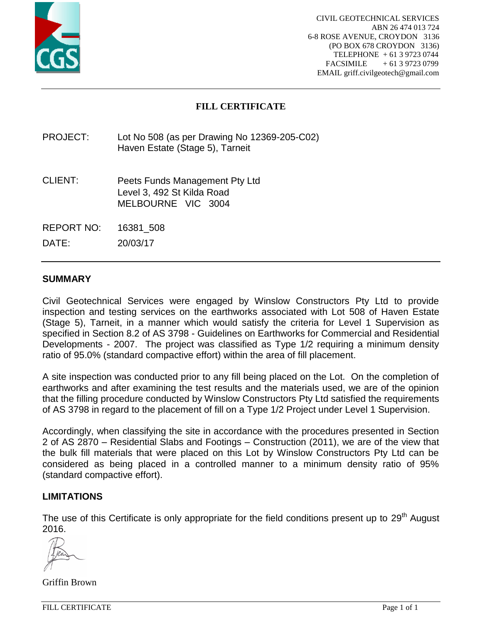

# **FILL CERTIFICATE**

PROJECT: Lot No 508 (as per Drawing No 12369-205-C02) Haven Estate (Stage 5), Tarneit

- CLIENT: Peets Funds Management Pty Ltd Level 3, 492 St Kilda Road MELBOURNE VIC 3004
- REPORT NO: 16381\_508

DATE: 20/03/17

### **SUMMARY**

Civil Geotechnical Services were engaged by Winslow Constructors Pty Ltd to provide inspection and testing services on the earthworks associated with Lot 508 of Haven Estate (Stage 5), Tarneit, in a manner which would satisfy the criteria for Level 1 Supervision as specified in Section 8.2 of AS 3798 - Guidelines on Earthworks for Commercial and Residential Developments - 2007. The project was classified as Type 1/2 requiring a minimum density ratio of 95.0% (standard compactive effort) within the area of fill placement.

A site inspection was conducted prior to any fill being placed on the Lot. On the completion of earthworks and after examining the test results and the materials used, we are of the opinion that the filling procedure conducted by Winslow Constructors Pty Ltd satisfied the requirements of AS 3798 in regard to the placement of fill on a Type 1/2 Project under Level 1 Supervision.

Accordingly, when classifying the site in accordance with the procedures presented in Section 2 of AS 2870 – Residential Slabs and Footings – Construction (2011), we are of the view that the bulk fill materials that were placed on this Lot by Winslow Constructors Pty Ltd can be considered as being placed in a controlled manner to a minimum density ratio of 95% (standard compactive effort).

### **LIMITATIONS**

The use of this Certificate is only appropriate for the field conditions present up to 29<sup>th</sup> August 2016.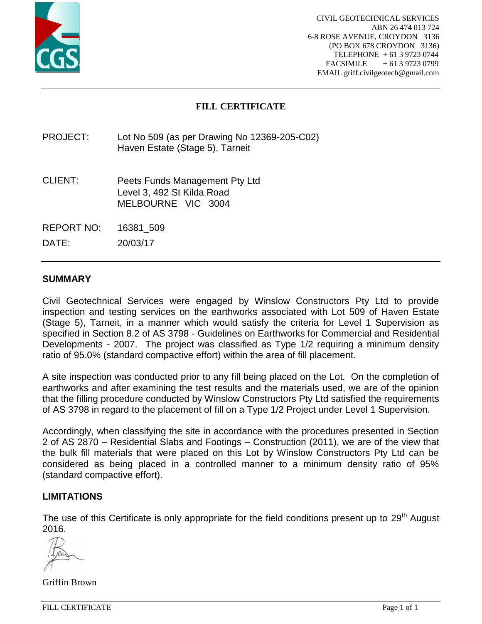

# **FILL CERTIFICATE**

PROJECT: Lot No 509 (as per Drawing No 12369-205-C02) Haven Estate (Stage 5), Tarneit

- CLIENT: Peets Funds Management Pty Ltd Level 3, 492 St Kilda Road MELBOURNE VIC 3004
- REPORT NO: 16381\_509

DATE: 20/03/17

### **SUMMARY**

Civil Geotechnical Services were engaged by Winslow Constructors Pty Ltd to provide inspection and testing services on the earthworks associated with Lot 509 of Haven Estate (Stage 5), Tarneit, in a manner which would satisfy the criteria for Level 1 Supervision as specified in Section 8.2 of AS 3798 - Guidelines on Earthworks for Commercial and Residential Developments - 2007. The project was classified as Type 1/2 requiring a minimum density ratio of 95.0% (standard compactive effort) within the area of fill placement.

A site inspection was conducted prior to any fill being placed on the Lot. On the completion of earthworks and after examining the test results and the materials used, we are of the opinion that the filling procedure conducted by Winslow Constructors Pty Ltd satisfied the requirements of AS 3798 in regard to the placement of fill on a Type 1/2 Project under Level 1 Supervision.

Accordingly, when classifying the site in accordance with the procedures presented in Section 2 of AS 2870 – Residential Slabs and Footings – Construction (2011), we are of the view that the bulk fill materials that were placed on this Lot by Winslow Constructors Pty Ltd can be considered as being placed in a controlled manner to a minimum density ratio of 95% (standard compactive effort).

### **LIMITATIONS**

The use of this Certificate is only appropriate for the field conditions present up to 29<sup>th</sup> August 2016.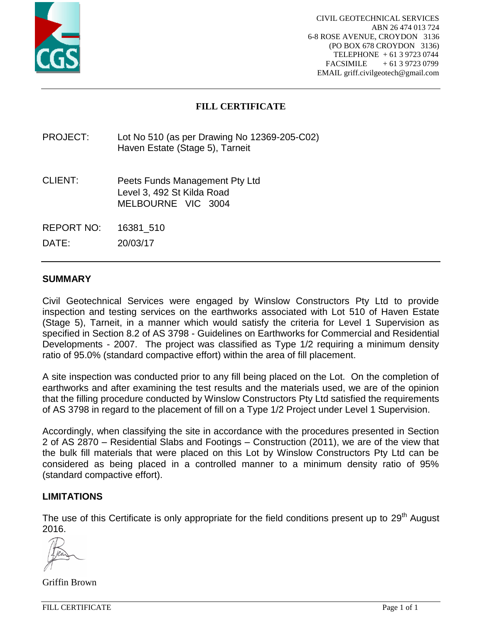

# **FILL CERTIFICATE**

PROJECT: Lot No 510 (as per Drawing No 12369-205-C02) Haven Estate (Stage 5), Tarneit

- CLIENT: Peets Funds Management Pty Ltd Level 3, 492 St Kilda Road MELBOURNE VIC 3004
- REPORT NO: 16381\_510

DATE: 20/03/17

## **SUMMARY**

Civil Geotechnical Services were engaged by Winslow Constructors Pty Ltd to provide inspection and testing services on the earthworks associated with Lot 510 of Haven Estate (Stage 5), Tarneit, in a manner which would satisfy the criteria for Level 1 Supervision as specified in Section 8.2 of AS 3798 - Guidelines on Earthworks for Commercial and Residential Developments - 2007. The project was classified as Type 1/2 requiring a minimum density ratio of 95.0% (standard compactive effort) within the area of fill placement.

A site inspection was conducted prior to any fill being placed on the Lot. On the completion of earthworks and after examining the test results and the materials used, we are of the opinion that the filling procedure conducted by Winslow Constructors Pty Ltd satisfied the requirements of AS 3798 in regard to the placement of fill on a Type 1/2 Project under Level 1 Supervision.

Accordingly, when classifying the site in accordance with the procedures presented in Section 2 of AS 2870 – Residential Slabs and Footings – Construction (2011), we are of the view that the bulk fill materials that were placed on this Lot by Winslow Constructors Pty Ltd can be considered as being placed in a controlled manner to a minimum density ratio of 95% (standard compactive effort).

### **LIMITATIONS**

The use of this Certificate is only appropriate for the field conditions present up to 29<sup>th</sup> August 2016.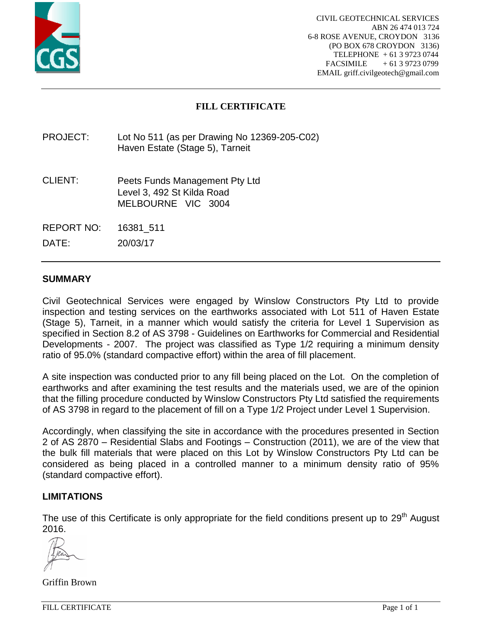

# **FILL CERTIFICATE**

PROJECT: Lot No 511 (as per Drawing No 12369-205-C02) Haven Estate (Stage 5), Tarneit

- CLIENT: Peets Funds Management Pty Ltd Level 3, 492 St Kilda Road MELBOURNE VIC 3004
- REPORT NO: 16381\_511

DATE: 20/03/17

## **SUMMARY**

Civil Geotechnical Services were engaged by Winslow Constructors Pty Ltd to provide inspection and testing services on the earthworks associated with Lot 511 of Haven Estate (Stage 5), Tarneit, in a manner which would satisfy the criteria for Level 1 Supervision as specified in Section 8.2 of AS 3798 - Guidelines on Earthworks for Commercial and Residential Developments - 2007. The project was classified as Type 1/2 requiring a minimum density ratio of 95.0% (standard compactive effort) within the area of fill placement.

A site inspection was conducted prior to any fill being placed on the Lot. On the completion of earthworks and after examining the test results and the materials used, we are of the opinion that the filling procedure conducted by Winslow Constructors Pty Ltd satisfied the requirements of AS 3798 in regard to the placement of fill on a Type 1/2 Project under Level 1 Supervision.

Accordingly, when classifying the site in accordance with the procedures presented in Section 2 of AS 2870 – Residential Slabs and Footings – Construction (2011), we are of the view that the bulk fill materials that were placed on this Lot by Winslow Constructors Pty Ltd can be considered as being placed in a controlled manner to a minimum density ratio of 95% (standard compactive effort).

### **LIMITATIONS**

The use of this Certificate is only appropriate for the field conditions present up to 29<sup>th</sup> August 2016.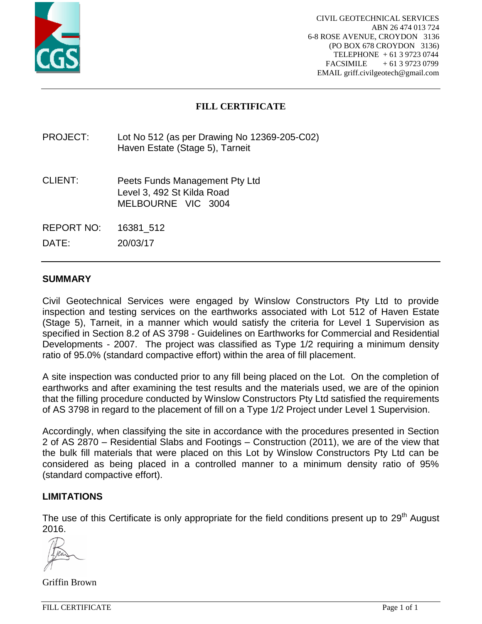

# **FILL CERTIFICATE**

PROJECT: Lot No 512 (as per Drawing No 12369-205-C02) Haven Estate (Stage 5), Tarneit

- CLIENT: Peets Funds Management Pty Ltd Level 3, 492 St Kilda Road MELBOURNE VIC 3004
- REPORT NO: 16381\_512

DATE: 20/03/17

## **SUMMARY**

Civil Geotechnical Services were engaged by Winslow Constructors Pty Ltd to provide inspection and testing services on the earthworks associated with Lot 512 of Haven Estate (Stage 5), Tarneit, in a manner which would satisfy the criteria for Level 1 Supervision as specified in Section 8.2 of AS 3798 - Guidelines on Earthworks for Commercial and Residential Developments - 2007. The project was classified as Type 1/2 requiring a minimum density ratio of 95.0% (standard compactive effort) within the area of fill placement.

A site inspection was conducted prior to any fill being placed on the Lot. On the completion of earthworks and after examining the test results and the materials used, we are of the opinion that the filling procedure conducted by Winslow Constructors Pty Ltd satisfied the requirements of AS 3798 in regard to the placement of fill on a Type 1/2 Project under Level 1 Supervision.

Accordingly, when classifying the site in accordance with the procedures presented in Section 2 of AS 2870 – Residential Slabs and Footings – Construction (2011), we are of the view that the bulk fill materials that were placed on this Lot by Winslow Constructors Pty Ltd can be considered as being placed in a controlled manner to a minimum density ratio of 95% (standard compactive effort).

### **LIMITATIONS**

The use of this Certificate is only appropriate for the field conditions present up to 29<sup>th</sup> August 2016.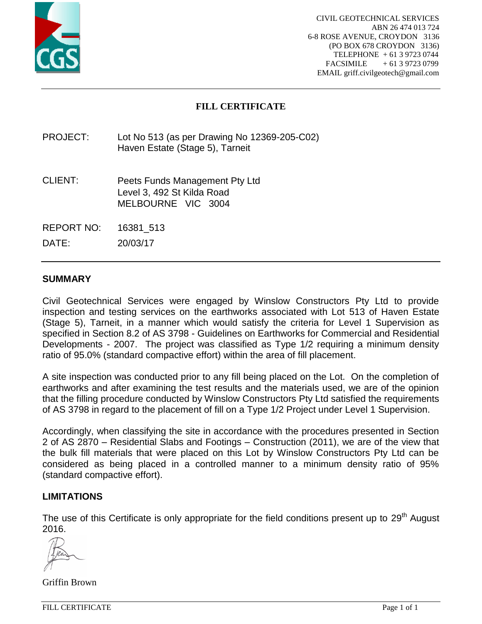

# **FILL CERTIFICATE**

PROJECT: Lot No 513 (as per Drawing No 12369-205-C02) Haven Estate (Stage 5), Tarneit

- CLIENT: Peets Funds Management Pty Ltd Level 3, 492 St Kilda Road MELBOURNE VIC 3004
- REPORT NO: 16381\_513

DATE: 20/03/17

## **SUMMARY**

Civil Geotechnical Services were engaged by Winslow Constructors Pty Ltd to provide inspection and testing services on the earthworks associated with Lot 513 of Haven Estate (Stage 5), Tarneit, in a manner which would satisfy the criteria for Level 1 Supervision as specified in Section 8.2 of AS 3798 - Guidelines on Earthworks for Commercial and Residential Developments - 2007. The project was classified as Type 1/2 requiring a minimum density ratio of 95.0% (standard compactive effort) within the area of fill placement.

A site inspection was conducted prior to any fill being placed on the Lot. On the completion of earthworks and after examining the test results and the materials used, we are of the opinion that the filling procedure conducted by Winslow Constructors Pty Ltd satisfied the requirements of AS 3798 in regard to the placement of fill on a Type 1/2 Project under Level 1 Supervision.

Accordingly, when classifying the site in accordance with the procedures presented in Section 2 of AS 2870 – Residential Slabs and Footings – Construction (2011), we are of the view that the bulk fill materials that were placed on this Lot by Winslow Constructors Pty Ltd can be considered as being placed in a controlled manner to a minimum density ratio of 95% (standard compactive effort).

### **LIMITATIONS**

The use of this Certificate is only appropriate for the field conditions present up to 29<sup>th</sup> August 2016.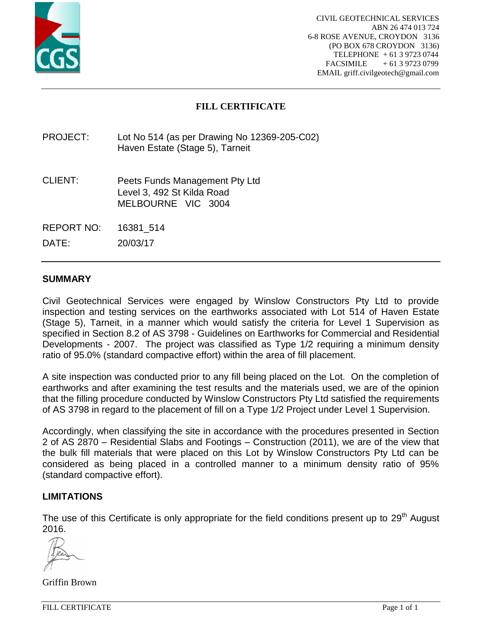

# **FILL CERTIFICATE**

PROJECT: Lot No 514 (as per Drawing No 12369-205-C02) Haven Estate (Stage 5), Tarneit

- CLIENT: Peets Funds Management Pty Ltd Level 3, 492 St Kilda Road MELBOURNE VIC 3004
- REPORT NO: 16381\_514

DATE: 20/03/17

### **SUMMARY**

Civil Geotechnical Services were engaged by Winslow Constructors Pty Ltd to provide inspection and testing services on the earthworks associated with Lot 514 of Haven Estate (Stage 5), Tarneit, in a manner which would satisfy the criteria for Level 1 Supervision as specified in Section 8.2 of AS 3798 - Guidelines on Earthworks for Commercial and Residential Developments - 2007. The project was classified as Type 1/2 requiring a minimum density ratio of 95.0% (standard compactive effort) within the area of fill placement.

A site inspection was conducted prior to any fill being placed on the Lot. On the completion of earthworks and after examining the test results and the materials used, we are of the opinion that the filling procedure conducted by Winslow Constructors Pty Ltd satisfied the requirements of AS 3798 in regard to the placement of fill on a Type 1/2 Project under Level 1 Supervision.

Accordingly, when classifying the site in accordance with the procedures presented in Section 2 of AS 2870 – Residential Slabs and Footings – Construction (2011), we are of the view that the bulk fill materials that were placed on this Lot by Winslow Constructors Pty Ltd can be considered as being placed in a controlled manner to a minimum density ratio of 95% (standard compactive effort).

### **LIMITATIONS**

The use of this Certificate is only appropriate for the field conditions present up to 29<sup>th</sup> August 2016.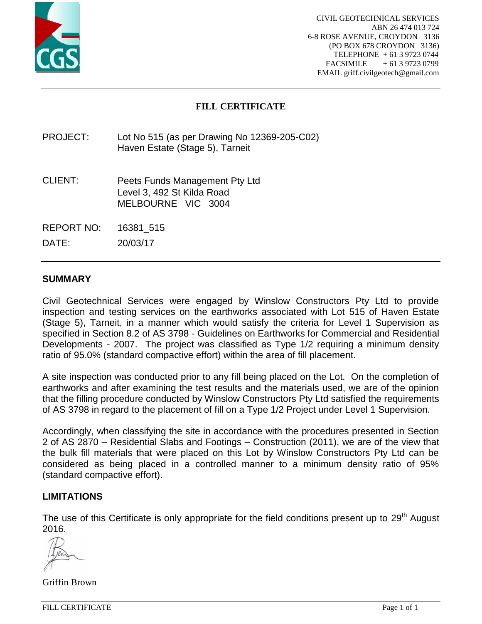

# **FILL CERTIFICATE**

PROJECT: Lot No 515 (as per Drawing No 12369-205-C02) Haven Estate (Stage 5), Tarneit

- CLIENT: Peets Funds Management Pty Ltd Level 3, 492 St Kilda Road MELBOURNE VIC 3004
- REPORT NO: 16381\_515

DATE: 20/03/17

## **SUMMARY**

Civil Geotechnical Services were engaged by Winslow Constructors Pty Ltd to provide inspection and testing services on the earthworks associated with Lot 515 of Haven Estate (Stage 5), Tarneit, in a manner which would satisfy the criteria for Level 1 Supervision as specified in Section 8.2 of AS 3798 - Guidelines on Earthworks for Commercial and Residential Developments - 2007. The project was classified as Type 1/2 requiring a minimum density ratio of 95.0% (standard compactive effort) within the area of fill placement.

A site inspection was conducted prior to any fill being placed on the Lot. On the completion of earthworks and after examining the test results and the materials used, we are of the opinion that the filling procedure conducted by Winslow Constructors Pty Ltd satisfied the requirements of AS 3798 in regard to the placement of fill on a Type 1/2 Project under Level 1 Supervision.

Accordingly, when classifying the site in accordance with the procedures presented in Section 2 of AS 2870 – Residential Slabs and Footings – Construction (2011), we are of the view that the bulk fill materials that were placed on this Lot by Winslow Constructors Pty Ltd can be considered as being placed in a controlled manner to a minimum density ratio of 95% (standard compactive effort).

### **LIMITATIONS**

The use of this Certificate is only appropriate for the field conditions present up to 29<sup>th</sup> August 2016.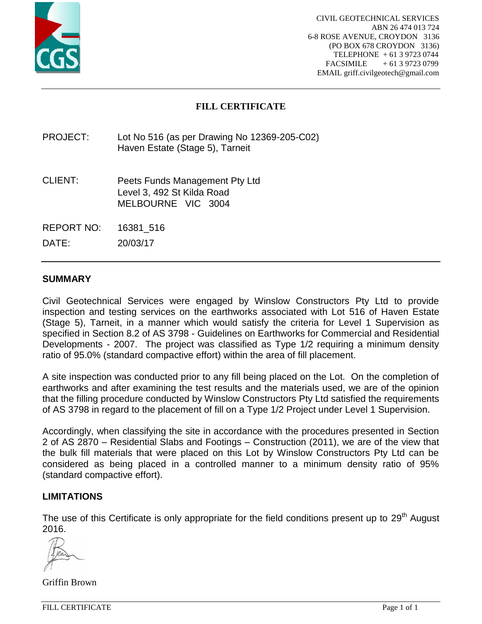

# **FILL CERTIFICATE**

PROJECT: Lot No 516 (as per Drawing No 12369-205-C02) Haven Estate (Stage 5), Tarneit

- CLIENT: Peets Funds Management Pty Ltd Level 3, 492 St Kilda Road MELBOURNE VIC 3004
- REPORT NO: 16381\_516

DATE: 20/03/17

## **SUMMARY**

Civil Geotechnical Services were engaged by Winslow Constructors Pty Ltd to provide inspection and testing services on the earthworks associated with Lot 516 of Haven Estate (Stage 5), Tarneit, in a manner which would satisfy the criteria for Level 1 Supervision as specified in Section 8.2 of AS 3798 - Guidelines on Earthworks for Commercial and Residential Developments - 2007. The project was classified as Type 1/2 requiring a minimum density ratio of 95.0% (standard compactive effort) within the area of fill placement.

A site inspection was conducted prior to any fill being placed on the Lot. On the completion of earthworks and after examining the test results and the materials used, we are of the opinion that the filling procedure conducted by Winslow Constructors Pty Ltd satisfied the requirements of AS 3798 in regard to the placement of fill on a Type 1/2 Project under Level 1 Supervision.

Accordingly, when classifying the site in accordance with the procedures presented in Section 2 of AS 2870 – Residential Slabs and Footings – Construction (2011), we are of the view that the bulk fill materials that were placed on this Lot by Winslow Constructors Pty Ltd can be considered as being placed in a controlled manner to a minimum density ratio of 95% (standard compactive effort).

### **LIMITATIONS**

The use of this Certificate is only appropriate for the field conditions present up to 29<sup>th</sup> August 2016.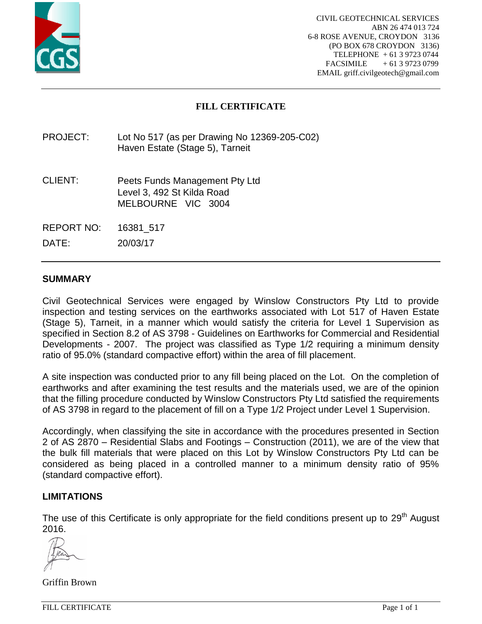

# **FILL CERTIFICATE**

PROJECT: Lot No 517 (as per Drawing No 12369-205-C02) Haven Estate (Stage 5), Tarneit

- CLIENT: Peets Funds Management Pty Ltd Level 3, 492 St Kilda Road MELBOURNE VIC 3004
- REPORT NO: 16381\_517

DATE: 20/03/17

## **SUMMARY**

Civil Geotechnical Services were engaged by Winslow Constructors Pty Ltd to provide inspection and testing services on the earthworks associated with Lot 517 of Haven Estate (Stage 5), Tarneit, in a manner which would satisfy the criteria for Level 1 Supervision as specified in Section 8.2 of AS 3798 - Guidelines on Earthworks for Commercial and Residential Developments - 2007. The project was classified as Type 1/2 requiring a minimum density ratio of 95.0% (standard compactive effort) within the area of fill placement.

A site inspection was conducted prior to any fill being placed on the Lot. On the completion of earthworks and after examining the test results and the materials used, we are of the opinion that the filling procedure conducted by Winslow Constructors Pty Ltd satisfied the requirements of AS 3798 in regard to the placement of fill on a Type 1/2 Project under Level 1 Supervision.

Accordingly, when classifying the site in accordance with the procedures presented in Section 2 of AS 2870 – Residential Slabs and Footings – Construction (2011), we are of the view that the bulk fill materials that were placed on this Lot by Winslow Constructors Pty Ltd can be considered as being placed in a controlled manner to a minimum density ratio of 95% (standard compactive effort).

### **LIMITATIONS**

The use of this Certificate is only appropriate for the field conditions present up to 29<sup>th</sup> August 2016.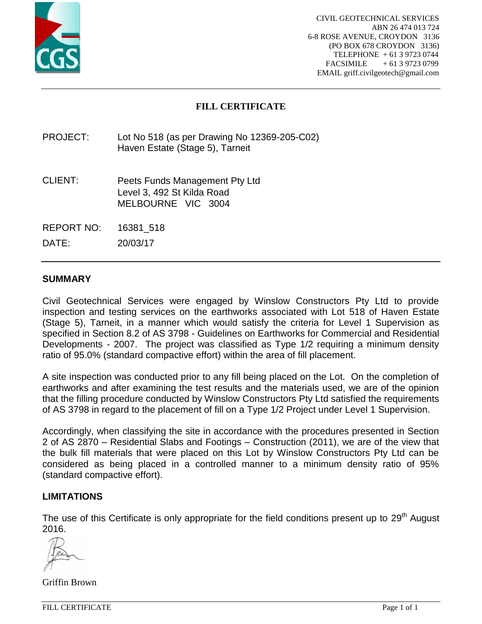

# **FILL CERTIFICATE**

PROJECT: Lot No 518 (as per Drawing No 12369-205-C02) Haven Estate (Stage 5), Tarneit

- CLIENT: Peets Funds Management Pty Ltd Level 3, 492 St Kilda Road MELBOURNE VIC 3004
- REPORT NO: 16381\_518

DATE: 20/03/17

## **SUMMARY**

Civil Geotechnical Services were engaged by Winslow Constructors Pty Ltd to provide inspection and testing services on the earthworks associated with Lot 518 of Haven Estate (Stage 5), Tarneit, in a manner which would satisfy the criteria for Level 1 Supervision as specified in Section 8.2 of AS 3798 - Guidelines on Earthworks for Commercial and Residential Developments - 2007. The project was classified as Type 1/2 requiring a minimum density ratio of 95.0% (standard compactive effort) within the area of fill placement.

A site inspection was conducted prior to any fill being placed on the Lot. On the completion of earthworks and after examining the test results and the materials used, we are of the opinion that the filling procedure conducted by Winslow Constructors Pty Ltd satisfied the requirements of AS 3798 in regard to the placement of fill on a Type 1/2 Project under Level 1 Supervision.

Accordingly, when classifying the site in accordance with the procedures presented in Section 2 of AS 2870 – Residential Slabs and Footings – Construction (2011), we are of the view that the bulk fill materials that were placed on this Lot by Winslow Constructors Pty Ltd can be considered as being placed in a controlled manner to a minimum density ratio of 95% (standard compactive effort).

### **LIMITATIONS**

The use of this Certificate is only appropriate for the field conditions present up to 29<sup>th</sup> August 2016.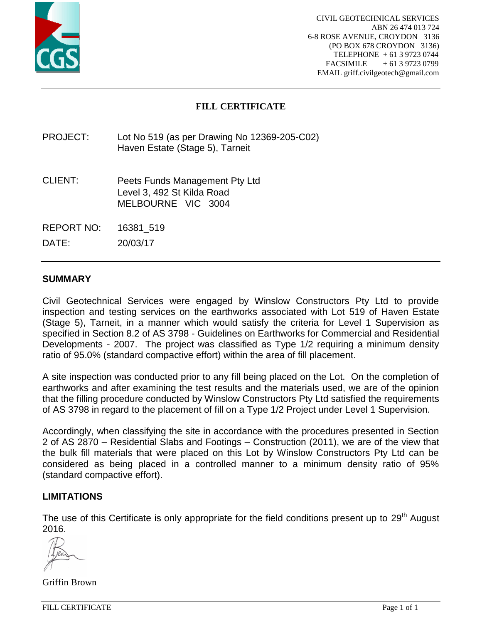

# **FILL CERTIFICATE**

PROJECT: Lot No 519 (as per Drawing No 12369-205-C02) Haven Estate (Stage 5), Tarneit

- CLIENT: Peets Funds Management Pty Ltd Level 3, 492 St Kilda Road MELBOURNE VIC 3004
- REPORT NO: 16381\_519

DATE: 20/03/17

### **SUMMARY**

Civil Geotechnical Services were engaged by Winslow Constructors Pty Ltd to provide inspection and testing services on the earthworks associated with Lot 519 of Haven Estate (Stage 5), Tarneit, in a manner which would satisfy the criteria for Level 1 Supervision as specified in Section 8.2 of AS 3798 - Guidelines on Earthworks for Commercial and Residential Developments - 2007. The project was classified as Type 1/2 requiring a minimum density ratio of 95.0% (standard compactive effort) within the area of fill placement.

A site inspection was conducted prior to any fill being placed on the Lot. On the completion of earthworks and after examining the test results and the materials used, we are of the opinion that the filling procedure conducted by Winslow Constructors Pty Ltd satisfied the requirements of AS 3798 in regard to the placement of fill on a Type 1/2 Project under Level 1 Supervision.

Accordingly, when classifying the site in accordance with the procedures presented in Section 2 of AS 2870 – Residential Slabs and Footings – Construction (2011), we are of the view that the bulk fill materials that were placed on this Lot by Winslow Constructors Pty Ltd can be considered as being placed in a controlled manner to a minimum density ratio of 95% (standard compactive effort).

### **LIMITATIONS**

The use of this Certificate is only appropriate for the field conditions present up to 29<sup>th</sup> August 2016.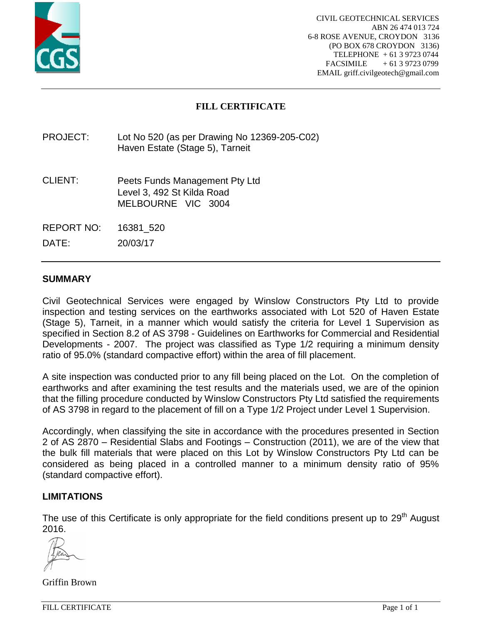

# **FILL CERTIFICATE**

PROJECT: Lot No 520 (as per Drawing No 12369-205-C02) Haven Estate (Stage 5), Tarneit

- CLIENT: Peets Funds Management Pty Ltd Level 3, 492 St Kilda Road MELBOURNE VIC 3004
- REPORT NO: 16381\_520

DATE: 20/03/17

### **SUMMARY**

Civil Geotechnical Services were engaged by Winslow Constructors Pty Ltd to provide inspection and testing services on the earthworks associated with Lot 520 of Haven Estate (Stage 5), Tarneit, in a manner which would satisfy the criteria for Level 1 Supervision as specified in Section 8.2 of AS 3798 - Guidelines on Earthworks for Commercial and Residential Developments - 2007. The project was classified as Type 1/2 requiring a minimum density ratio of 95.0% (standard compactive effort) within the area of fill placement.

A site inspection was conducted prior to any fill being placed on the Lot. On the completion of earthworks and after examining the test results and the materials used, we are of the opinion that the filling procedure conducted by Winslow Constructors Pty Ltd satisfied the requirements of AS 3798 in regard to the placement of fill on a Type 1/2 Project under Level 1 Supervision.

Accordingly, when classifying the site in accordance with the procedures presented in Section 2 of AS 2870 – Residential Slabs and Footings – Construction (2011), we are of the view that the bulk fill materials that were placed on this Lot by Winslow Constructors Pty Ltd can be considered as being placed in a controlled manner to a minimum density ratio of 95% (standard compactive effort).

### **LIMITATIONS**

The use of this Certificate is only appropriate for the field conditions present up to 29<sup>th</sup> August 2016.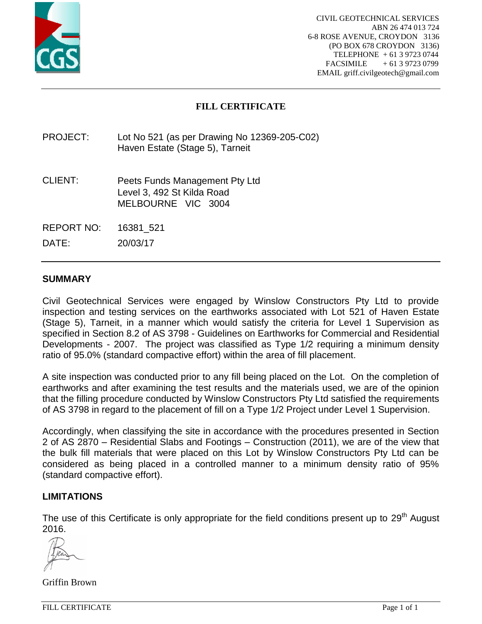![](_page_20_Picture_0.jpeg)

# **FILL CERTIFICATE**

PROJECT: Lot No 521 (as per Drawing No 12369-205-C02) Haven Estate (Stage 5), Tarneit

- CLIENT: Peets Funds Management Pty Ltd Level 3, 492 St Kilda Road MELBOURNE VIC 3004
- REPORT NO: 16381\_521

DATE: 20/03/17

### **SUMMARY**

Civil Geotechnical Services were engaged by Winslow Constructors Pty Ltd to provide inspection and testing services on the earthworks associated with Lot 521 of Haven Estate (Stage 5), Tarneit, in a manner which would satisfy the criteria for Level 1 Supervision as specified in Section 8.2 of AS 3798 - Guidelines on Earthworks for Commercial and Residential Developments - 2007. The project was classified as Type 1/2 requiring a minimum density ratio of 95.0% (standard compactive effort) within the area of fill placement.

A site inspection was conducted prior to any fill being placed on the Lot. On the completion of earthworks and after examining the test results and the materials used, we are of the opinion that the filling procedure conducted by Winslow Constructors Pty Ltd satisfied the requirements of AS 3798 in regard to the placement of fill on a Type 1/2 Project under Level 1 Supervision.

Accordingly, when classifying the site in accordance with the procedures presented in Section 2 of AS 2870 – Residential Slabs and Footings – Construction (2011), we are of the view that the bulk fill materials that were placed on this Lot by Winslow Constructors Pty Ltd can be considered as being placed in a controlled manner to a minimum density ratio of 95% (standard compactive effort).

### **LIMITATIONS**

The use of this Certificate is only appropriate for the field conditions present up to 29<sup>th</sup> August 2016.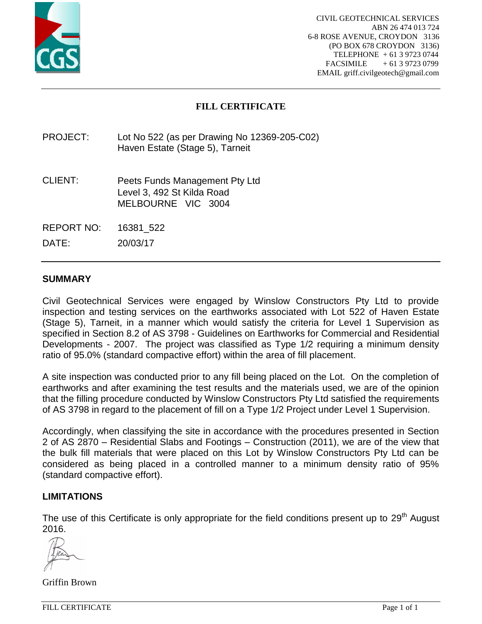![](_page_21_Picture_0.jpeg)

# **FILL CERTIFICATE**

PROJECT: Lot No 522 (as per Drawing No 12369-205-C02) Haven Estate (Stage 5), Tarneit

- CLIENT: Peets Funds Management Pty Ltd Level 3, 492 St Kilda Road MELBOURNE VIC 3004
- REPORT NO: 16381\_522

DATE: 20/03/17

### **SUMMARY**

Civil Geotechnical Services were engaged by Winslow Constructors Pty Ltd to provide inspection and testing services on the earthworks associated with Lot 522 of Haven Estate (Stage 5), Tarneit, in a manner which would satisfy the criteria for Level 1 Supervision as specified in Section 8.2 of AS 3798 - Guidelines on Earthworks for Commercial and Residential Developments - 2007. The project was classified as Type 1/2 requiring a minimum density ratio of 95.0% (standard compactive effort) within the area of fill placement.

A site inspection was conducted prior to any fill being placed on the Lot. On the completion of earthworks and after examining the test results and the materials used, we are of the opinion that the filling procedure conducted by Winslow Constructors Pty Ltd satisfied the requirements of AS 3798 in regard to the placement of fill on a Type 1/2 Project under Level 1 Supervision.

Accordingly, when classifying the site in accordance with the procedures presented in Section 2 of AS 2870 – Residential Slabs and Footings – Construction (2011), we are of the view that the bulk fill materials that were placed on this Lot by Winslow Constructors Pty Ltd can be considered as being placed in a controlled manner to a minimum density ratio of 95% (standard compactive effort).

### **LIMITATIONS**

The use of this Certificate is only appropriate for the field conditions present up to 29<sup>th</sup> August 2016.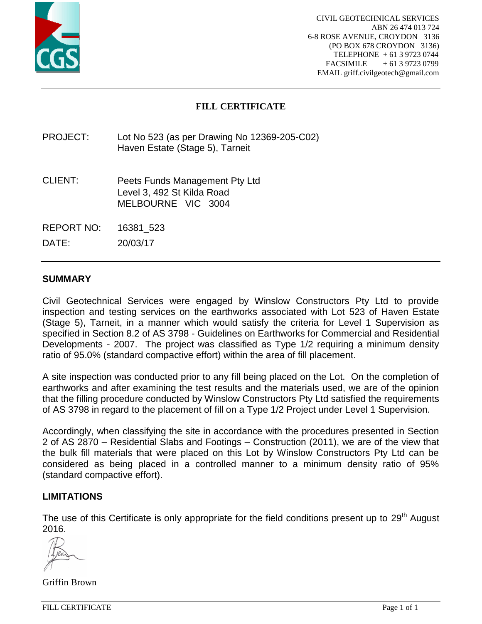![](_page_22_Picture_0.jpeg)

# **FILL CERTIFICATE**

PROJECT: Lot No 523 (as per Drawing No 12369-205-C02) Haven Estate (Stage 5), Tarneit

- CLIENT: Peets Funds Management Pty Ltd Level 3, 492 St Kilda Road MELBOURNE VIC 3004
- REPORT NO: 16381\_523

DATE: 20/03/17

### **SUMMARY**

Civil Geotechnical Services were engaged by Winslow Constructors Pty Ltd to provide inspection and testing services on the earthworks associated with Lot 523 of Haven Estate (Stage 5), Tarneit, in a manner which would satisfy the criteria for Level 1 Supervision as specified in Section 8.2 of AS 3798 - Guidelines on Earthworks for Commercial and Residential Developments - 2007. The project was classified as Type 1/2 requiring a minimum density ratio of 95.0% (standard compactive effort) within the area of fill placement.

A site inspection was conducted prior to any fill being placed on the Lot. On the completion of earthworks and after examining the test results and the materials used, we are of the opinion that the filling procedure conducted by Winslow Constructors Pty Ltd satisfied the requirements of AS 3798 in regard to the placement of fill on a Type 1/2 Project under Level 1 Supervision.

Accordingly, when classifying the site in accordance with the procedures presented in Section 2 of AS 2870 – Residential Slabs and Footings – Construction (2011), we are of the view that the bulk fill materials that were placed on this Lot by Winslow Constructors Pty Ltd can be considered as being placed in a controlled manner to a minimum density ratio of 95% (standard compactive effort).

### **LIMITATIONS**

The use of this Certificate is only appropriate for the field conditions present up to 29<sup>th</sup> August 2016.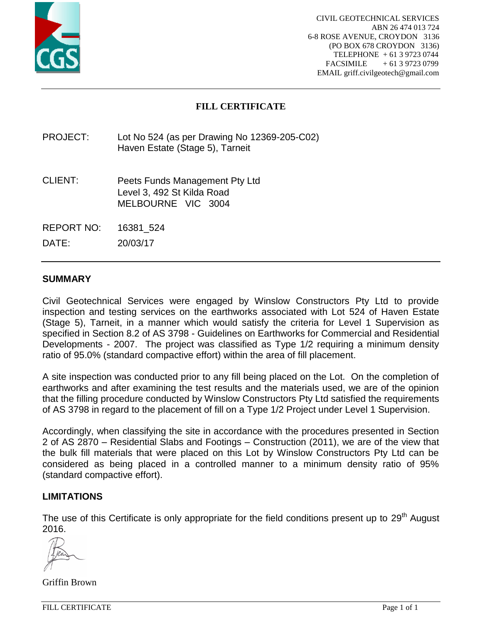![](_page_23_Picture_0.jpeg)

# **FILL CERTIFICATE**

PROJECT: Lot No 524 (as per Drawing No 12369-205-C02) Haven Estate (Stage 5), Tarneit

- CLIENT: Peets Funds Management Pty Ltd Level 3, 492 St Kilda Road MELBOURNE VIC 3004
- REPORT NO: 16381\_524

DATE: 20/03/17

### **SUMMARY**

Civil Geotechnical Services were engaged by Winslow Constructors Pty Ltd to provide inspection and testing services on the earthworks associated with Lot 524 of Haven Estate (Stage 5), Tarneit, in a manner which would satisfy the criteria for Level 1 Supervision as specified in Section 8.2 of AS 3798 - Guidelines on Earthworks for Commercial and Residential Developments - 2007. The project was classified as Type 1/2 requiring a minimum density ratio of 95.0% (standard compactive effort) within the area of fill placement.

A site inspection was conducted prior to any fill being placed on the Lot. On the completion of earthworks and after examining the test results and the materials used, we are of the opinion that the filling procedure conducted by Winslow Constructors Pty Ltd satisfied the requirements of AS 3798 in regard to the placement of fill on a Type 1/2 Project under Level 1 Supervision.

Accordingly, when classifying the site in accordance with the procedures presented in Section 2 of AS 2870 – Residential Slabs and Footings – Construction (2011), we are of the view that the bulk fill materials that were placed on this Lot by Winslow Constructors Pty Ltd can be considered as being placed in a controlled manner to a minimum density ratio of 95% (standard compactive effort).

### **LIMITATIONS**

The use of this Certificate is only appropriate for the field conditions present up to 29<sup>th</sup> August 2016.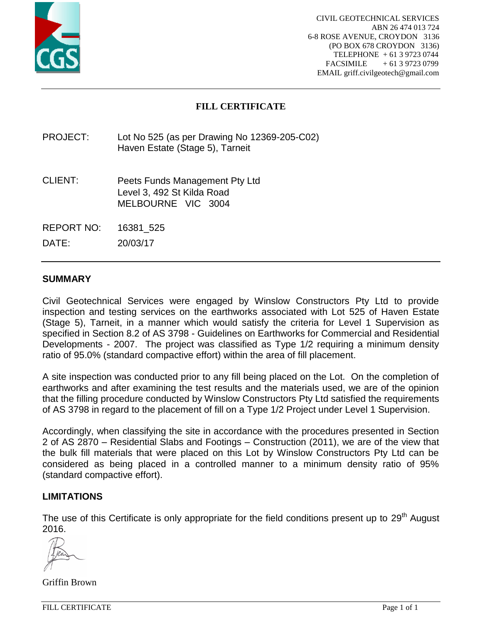![](_page_24_Picture_0.jpeg)

# **FILL CERTIFICATE**

PROJECT: Lot No 525 (as per Drawing No 12369-205-C02) Haven Estate (Stage 5), Tarneit

- CLIENT: Peets Funds Management Pty Ltd Level 3, 492 St Kilda Road MELBOURNE VIC 3004
- REPORT NO: 16381\_525

DATE: 20/03/17

### **SUMMARY**

Civil Geotechnical Services were engaged by Winslow Constructors Pty Ltd to provide inspection and testing services on the earthworks associated with Lot 525 of Haven Estate (Stage 5), Tarneit, in a manner which would satisfy the criteria for Level 1 Supervision as specified in Section 8.2 of AS 3798 - Guidelines on Earthworks for Commercial and Residential Developments - 2007. The project was classified as Type 1/2 requiring a minimum density ratio of 95.0% (standard compactive effort) within the area of fill placement.

A site inspection was conducted prior to any fill being placed on the Lot. On the completion of earthworks and after examining the test results and the materials used, we are of the opinion that the filling procedure conducted by Winslow Constructors Pty Ltd satisfied the requirements of AS 3798 in regard to the placement of fill on a Type 1/2 Project under Level 1 Supervision.

Accordingly, when classifying the site in accordance with the procedures presented in Section 2 of AS 2870 – Residential Slabs and Footings – Construction (2011), we are of the view that the bulk fill materials that were placed on this Lot by Winslow Constructors Pty Ltd can be considered as being placed in a controlled manner to a minimum density ratio of 95% (standard compactive effort).

### **LIMITATIONS**

The use of this Certificate is only appropriate for the field conditions present up to 29<sup>th</sup> August 2016.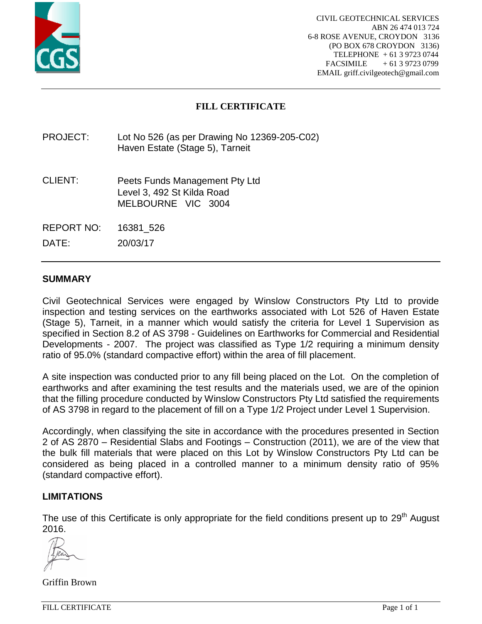![](_page_25_Picture_0.jpeg)

# **FILL CERTIFICATE**

PROJECT: Lot No 526 (as per Drawing No 12369-205-C02) Haven Estate (Stage 5), Tarneit

- CLIENT: Peets Funds Management Pty Ltd Level 3, 492 St Kilda Road MELBOURNE VIC 3004
- REPORT NO: 16381\_526

DATE: 20/03/17

### **SUMMARY**

Civil Geotechnical Services were engaged by Winslow Constructors Pty Ltd to provide inspection and testing services on the earthworks associated with Lot 526 of Haven Estate (Stage 5), Tarneit, in a manner which would satisfy the criteria for Level 1 Supervision as specified in Section 8.2 of AS 3798 - Guidelines on Earthworks for Commercial and Residential Developments - 2007. The project was classified as Type 1/2 requiring a minimum density ratio of 95.0% (standard compactive effort) within the area of fill placement.

A site inspection was conducted prior to any fill being placed on the Lot. On the completion of earthworks and after examining the test results and the materials used, we are of the opinion that the filling procedure conducted by Winslow Constructors Pty Ltd satisfied the requirements of AS 3798 in regard to the placement of fill on a Type 1/2 Project under Level 1 Supervision.

Accordingly, when classifying the site in accordance with the procedures presented in Section 2 of AS 2870 – Residential Slabs and Footings – Construction (2011), we are of the view that the bulk fill materials that were placed on this Lot by Winslow Constructors Pty Ltd can be considered as being placed in a controlled manner to a minimum density ratio of 95% (standard compactive effort).

### **LIMITATIONS**

The use of this Certificate is only appropriate for the field conditions present up to 29<sup>th</sup> August 2016.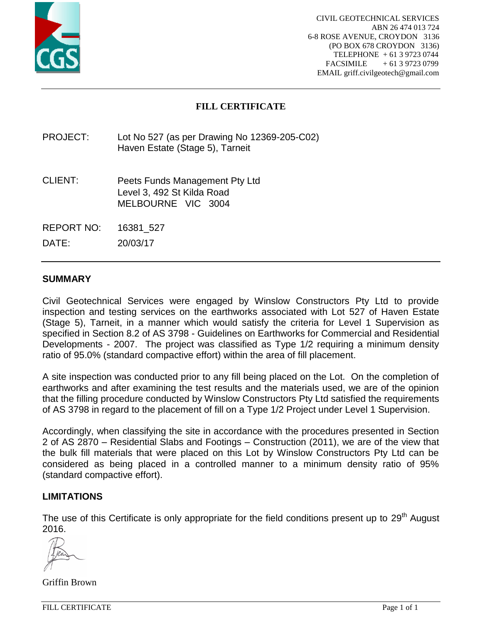![](_page_26_Picture_0.jpeg)

# **FILL CERTIFICATE**

PROJECT: Lot No 527 (as per Drawing No 12369-205-C02) Haven Estate (Stage 5), Tarneit

- CLIENT: Peets Funds Management Pty Ltd Level 3, 492 St Kilda Road MELBOURNE VIC 3004
- REPORT NO: 16381\_527

DATE: 20/03/17

## **SUMMARY**

Civil Geotechnical Services were engaged by Winslow Constructors Pty Ltd to provide inspection and testing services on the earthworks associated with Lot 527 of Haven Estate (Stage 5), Tarneit, in a manner which would satisfy the criteria for Level 1 Supervision as specified in Section 8.2 of AS 3798 - Guidelines on Earthworks for Commercial and Residential Developments - 2007. The project was classified as Type 1/2 requiring a minimum density ratio of 95.0% (standard compactive effort) within the area of fill placement.

A site inspection was conducted prior to any fill being placed on the Lot. On the completion of earthworks and after examining the test results and the materials used, we are of the opinion that the filling procedure conducted by Winslow Constructors Pty Ltd satisfied the requirements of AS 3798 in regard to the placement of fill on a Type 1/2 Project under Level 1 Supervision.

Accordingly, when classifying the site in accordance with the procedures presented in Section 2 of AS 2870 – Residential Slabs and Footings – Construction (2011), we are of the view that the bulk fill materials that were placed on this Lot by Winslow Constructors Pty Ltd can be considered as being placed in a controlled manner to a minimum density ratio of 95% (standard compactive effort).

### **LIMITATIONS**

The use of this Certificate is only appropriate for the field conditions present up to 29<sup>th</sup> August 2016.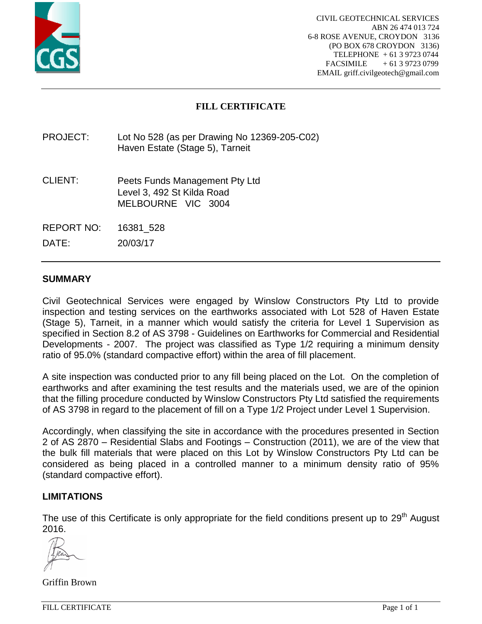![](_page_27_Picture_0.jpeg)

# **FILL CERTIFICATE**

PROJECT: Lot No 528 (as per Drawing No 12369-205-C02) Haven Estate (Stage 5), Tarneit

- CLIENT: Peets Funds Management Pty Ltd Level 3, 492 St Kilda Road MELBOURNE VIC 3004
- REPORT NO: 16381\_528

DATE: 20/03/17

### **SUMMARY**

Civil Geotechnical Services were engaged by Winslow Constructors Pty Ltd to provide inspection and testing services on the earthworks associated with Lot 528 of Haven Estate (Stage 5), Tarneit, in a manner which would satisfy the criteria for Level 1 Supervision as specified in Section 8.2 of AS 3798 - Guidelines on Earthworks for Commercial and Residential Developments - 2007. The project was classified as Type 1/2 requiring a minimum density ratio of 95.0% (standard compactive effort) within the area of fill placement.

A site inspection was conducted prior to any fill being placed on the Lot. On the completion of earthworks and after examining the test results and the materials used, we are of the opinion that the filling procedure conducted by Winslow Constructors Pty Ltd satisfied the requirements of AS 3798 in regard to the placement of fill on a Type 1/2 Project under Level 1 Supervision.

Accordingly, when classifying the site in accordance with the procedures presented in Section 2 of AS 2870 – Residential Slabs and Footings – Construction (2011), we are of the view that the bulk fill materials that were placed on this Lot by Winslow Constructors Pty Ltd can be considered as being placed in a controlled manner to a minimum density ratio of 95% (standard compactive effort).

### **LIMITATIONS**

The use of this Certificate is only appropriate for the field conditions present up to 29<sup>th</sup> August 2016.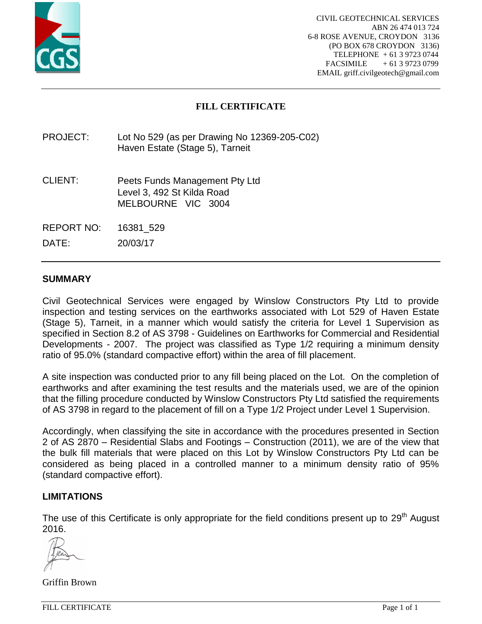![](_page_28_Picture_0.jpeg)

# **FILL CERTIFICATE**

PROJECT: Lot No 529 (as per Drawing No 12369-205-C02) Haven Estate (Stage 5), Tarneit

- CLIENT: Peets Funds Management Pty Ltd Level 3, 492 St Kilda Road MELBOURNE VIC 3004
- REPORT NO: 16381\_529

DATE: 20/03/17

### **SUMMARY**

Civil Geotechnical Services were engaged by Winslow Constructors Pty Ltd to provide inspection and testing services on the earthworks associated with Lot 529 of Haven Estate (Stage 5), Tarneit, in a manner which would satisfy the criteria for Level 1 Supervision as specified in Section 8.2 of AS 3798 - Guidelines on Earthworks for Commercial and Residential Developments - 2007. The project was classified as Type 1/2 requiring a minimum density ratio of 95.0% (standard compactive effort) within the area of fill placement.

A site inspection was conducted prior to any fill being placed on the Lot. On the completion of earthworks and after examining the test results and the materials used, we are of the opinion that the filling procedure conducted by Winslow Constructors Pty Ltd satisfied the requirements of AS 3798 in regard to the placement of fill on a Type 1/2 Project under Level 1 Supervision.

Accordingly, when classifying the site in accordance with the procedures presented in Section 2 of AS 2870 – Residential Slabs and Footings – Construction (2011), we are of the view that the bulk fill materials that were placed on this Lot by Winslow Constructors Pty Ltd can be considered as being placed in a controlled manner to a minimum density ratio of 95% (standard compactive effort).

### **LIMITATIONS**

The use of this Certificate is only appropriate for the field conditions present up to 29<sup>th</sup> August 2016.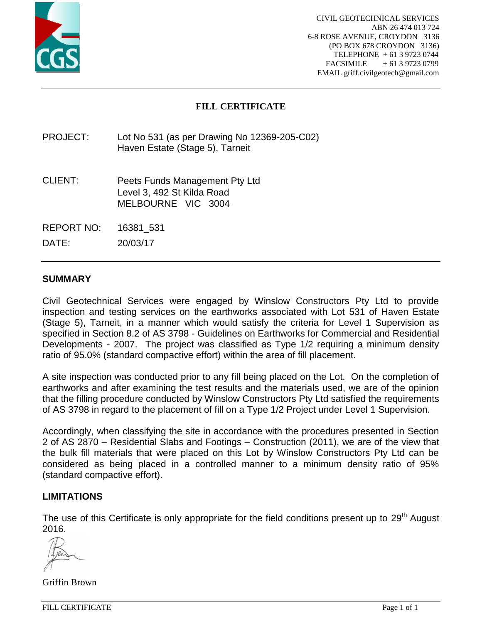![](_page_29_Picture_0.jpeg)

# **FILL CERTIFICATE**

PROJECT: Lot No 531 (as per Drawing No 12369-205-C02) Haven Estate (Stage 5), Tarneit

- CLIENT: Peets Funds Management Pty Ltd Level 3, 492 St Kilda Road MELBOURNE VIC 3004
- REPORT NO: 16381\_531

DATE: 20/03/17

## **SUMMARY**

Civil Geotechnical Services were engaged by Winslow Constructors Pty Ltd to provide inspection and testing services on the earthworks associated with Lot 531 of Haven Estate (Stage 5), Tarneit, in a manner which would satisfy the criteria for Level 1 Supervision as specified in Section 8.2 of AS 3798 - Guidelines on Earthworks for Commercial and Residential Developments - 2007. The project was classified as Type 1/2 requiring a minimum density ratio of 95.0% (standard compactive effort) within the area of fill placement.

A site inspection was conducted prior to any fill being placed on the Lot. On the completion of earthworks and after examining the test results and the materials used, we are of the opinion that the filling procedure conducted by Winslow Constructors Pty Ltd satisfied the requirements of AS 3798 in regard to the placement of fill on a Type 1/2 Project under Level 1 Supervision.

Accordingly, when classifying the site in accordance with the procedures presented in Section 2 of AS 2870 – Residential Slabs and Footings – Construction (2011), we are of the view that the bulk fill materials that were placed on this Lot by Winslow Constructors Pty Ltd can be considered as being placed in a controlled manner to a minimum density ratio of 95% (standard compactive effort).

### **LIMITATIONS**

The use of this Certificate is only appropriate for the field conditions present up to 29<sup>th</sup> August 2016.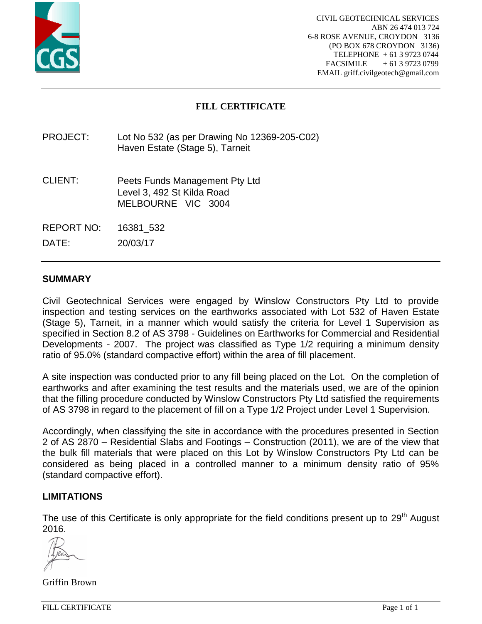![](_page_30_Picture_0.jpeg)

# **FILL CERTIFICATE**

PROJECT: Lot No 532 (as per Drawing No 12369-205-C02) Haven Estate (Stage 5), Tarneit

- CLIENT: Peets Funds Management Pty Ltd Level 3, 492 St Kilda Road MELBOURNE VIC 3004
- REPORT NO: 16381\_532

DATE: 20/03/17

### **SUMMARY**

Civil Geotechnical Services were engaged by Winslow Constructors Pty Ltd to provide inspection and testing services on the earthworks associated with Lot 532 of Haven Estate (Stage 5), Tarneit, in a manner which would satisfy the criteria for Level 1 Supervision as specified in Section 8.2 of AS 3798 - Guidelines on Earthworks for Commercial and Residential Developments - 2007. The project was classified as Type 1/2 requiring a minimum density ratio of 95.0% (standard compactive effort) within the area of fill placement.

A site inspection was conducted prior to any fill being placed on the Lot. On the completion of earthworks and after examining the test results and the materials used, we are of the opinion that the filling procedure conducted by Winslow Constructors Pty Ltd satisfied the requirements of AS 3798 in regard to the placement of fill on a Type 1/2 Project under Level 1 Supervision.

Accordingly, when classifying the site in accordance with the procedures presented in Section 2 of AS 2870 – Residential Slabs and Footings – Construction (2011), we are of the view that the bulk fill materials that were placed on this Lot by Winslow Constructors Pty Ltd can be considered as being placed in a controlled manner to a minimum density ratio of 95% (standard compactive effort).

### **LIMITATIONS**

The use of this Certificate is only appropriate for the field conditions present up to 29<sup>th</sup> August 2016.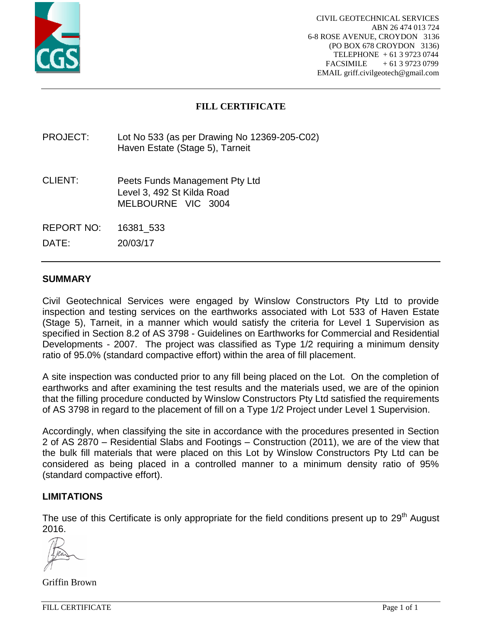![](_page_31_Picture_0.jpeg)

# **FILL CERTIFICATE**

PROJECT: Lot No 533 (as per Drawing No 12369-205-C02) Haven Estate (Stage 5), Tarneit

- CLIENT: Peets Funds Management Pty Ltd Level 3, 492 St Kilda Road MELBOURNE VIC 3004
- REPORT NO: 16381\_533

DATE: 20/03/17

### **SUMMARY**

Civil Geotechnical Services were engaged by Winslow Constructors Pty Ltd to provide inspection and testing services on the earthworks associated with Lot 533 of Haven Estate (Stage 5), Tarneit, in a manner which would satisfy the criteria for Level 1 Supervision as specified in Section 8.2 of AS 3798 - Guidelines on Earthworks for Commercial and Residential Developments - 2007. The project was classified as Type 1/2 requiring a minimum density ratio of 95.0% (standard compactive effort) within the area of fill placement.

A site inspection was conducted prior to any fill being placed on the Lot. On the completion of earthworks and after examining the test results and the materials used, we are of the opinion that the filling procedure conducted by Winslow Constructors Pty Ltd satisfied the requirements of AS 3798 in regard to the placement of fill on a Type 1/2 Project under Level 1 Supervision.

Accordingly, when classifying the site in accordance with the procedures presented in Section 2 of AS 2870 – Residential Slabs and Footings – Construction (2011), we are of the view that the bulk fill materials that were placed on this Lot by Winslow Constructors Pty Ltd can be considered as being placed in a controlled manner to a minimum density ratio of 95% (standard compactive effort).

### **LIMITATIONS**

The use of this Certificate is only appropriate for the field conditions present up to 29<sup>th</sup> August 2016.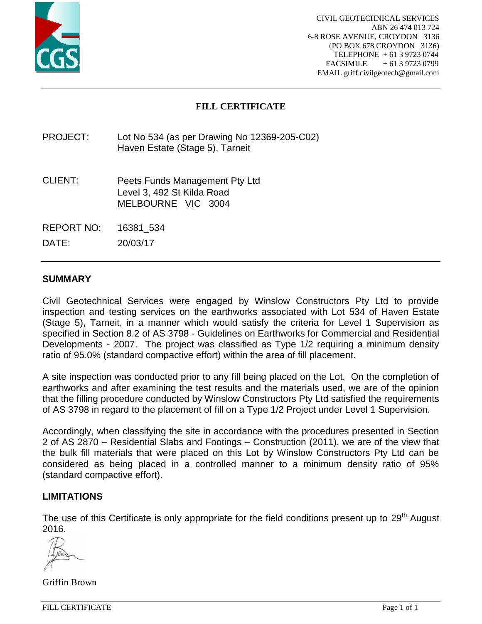![](_page_32_Picture_0.jpeg)

# **FILL CERTIFICATE**

PROJECT: Lot No 534 (as per Drawing No 12369-205-C02) Haven Estate (Stage 5), Tarneit

- CLIENT: Peets Funds Management Pty Ltd Level 3, 492 St Kilda Road MELBOURNE VIC 3004
- REPORT NO: 16381\_534

DATE: 20/03/17

### **SUMMARY**

Civil Geotechnical Services were engaged by Winslow Constructors Pty Ltd to provide inspection and testing services on the earthworks associated with Lot 534 of Haven Estate (Stage 5), Tarneit, in a manner which would satisfy the criteria for Level 1 Supervision as specified in Section 8.2 of AS 3798 - Guidelines on Earthworks for Commercial and Residential Developments - 2007. The project was classified as Type 1/2 requiring a minimum density ratio of 95.0% (standard compactive effort) within the area of fill placement.

A site inspection was conducted prior to any fill being placed on the Lot. On the completion of earthworks and after examining the test results and the materials used, we are of the opinion that the filling procedure conducted by Winslow Constructors Pty Ltd satisfied the requirements of AS 3798 in regard to the placement of fill on a Type 1/2 Project under Level 1 Supervision.

Accordingly, when classifying the site in accordance with the procedures presented in Section 2 of AS 2870 – Residential Slabs and Footings – Construction (2011), we are of the view that the bulk fill materials that were placed on this Lot by Winslow Constructors Pty Ltd can be considered as being placed in a controlled manner to a minimum density ratio of 95% (standard compactive effort).

### **LIMITATIONS**

The use of this Certificate is only appropriate for the field conditions present up to 29<sup>th</sup> August 2016.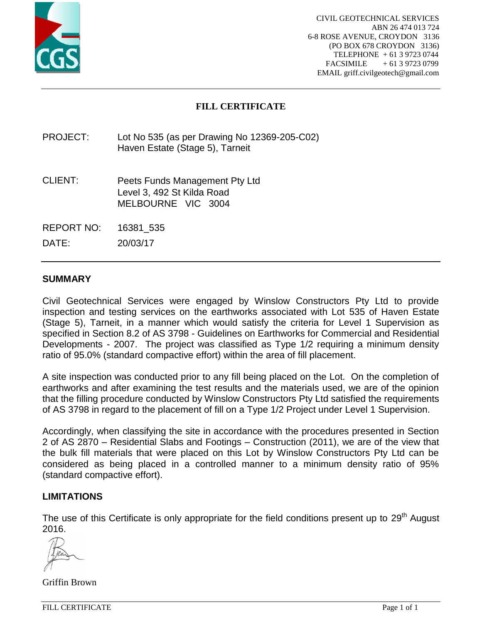![](_page_33_Picture_0.jpeg)

# **FILL CERTIFICATE**

PROJECT: Lot No 535 (as per Drawing No 12369-205-C02) Haven Estate (Stage 5), Tarneit

- CLIENT: Peets Funds Management Pty Ltd Level 3, 492 St Kilda Road MELBOURNE VIC 3004
- REPORT NO: 16381\_535

DATE: 20/03/17

### **SUMMARY**

Civil Geotechnical Services were engaged by Winslow Constructors Pty Ltd to provide inspection and testing services on the earthworks associated with Lot 535 of Haven Estate (Stage 5), Tarneit, in a manner which would satisfy the criteria for Level 1 Supervision as specified in Section 8.2 of AS 3798 - Guidelines on Earthworks for Commercial and Residential Developments - 2007. The project was classified as Type 1/2 requiring a minimum density ratio of 95.0% (standard compactive effort) within the area of fill placement.

A site inspection was conducted prior to any fill being placed on the Lot. On the completion of earthworks and after examining the test results and the materials used, we are of the opinion that the filling procedure conducted by Winslow Constructors Pty Ltd satisfied the requirements of AS 3798 in regard to the placement of fill on a Type 1/2 Project under Level 1 Supervision.

Accordingly, when classifying the site in accordance with the procedures presented in Section 2 of AS 2870 – Residential Slabs and Footings – Construction (2011), we are of the view that the bulk fill materials that were placed on this Lot by Winslow Constructors Pty Ltd can be considered as being placed in a controlled manner to a minimum density ratio of 95% (standard compactive effort).

### **LIMITATIONS**

The use of this Certificate is only appropriate for the field conditions present up to 29<sup>th</sup> August 2016.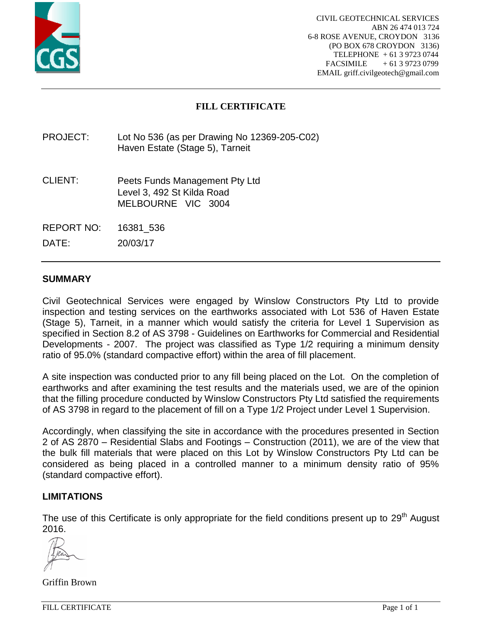![](_page_34_Picture_0.jpeg)

# **FILL CERTIFICATE**

PROJECT: Lot No 536 (as per Drawing No 12369-205-C02) Haven Estate (Stage 5), Tarneit

- CLIENT: Peets Funds Management Pty Ltd Level 3, 492 St Kilda Road MELBOURNE VIC 3004
- REPORT NO: 16381\_536

DATE: 20/03/17

### **SUMMARY**

Civil Geotechnical Services were engaged by Winslow Constructors Pty Ltd to provide inspection and testing services on the earthworks associated with Lot 536 of Haven Estate (Stage 5), Tarneit, in a manner which would satisfy the criteria for Level 1 Supervision as specified in Section 8.2 of AS 3798 - Guidelines on Earthworks for Commercial and Residential Developments - 2007. The project was classified as Type 1/2 requiring a minimum density ratio of 95.0% (standard compactive effort) within the area of fill placement.

A site inspection was conducted prior to any fill being placed on the Lot. On the completion of earthworks and after examining the test results and the materials used, we are of the opinion that the filling procedure conducted by Winslow Constructors Pty Ltd satisfied the requirements of AS 3798 in regard to the placement of fill on a Type 1/2 Project under Level 1 Supervision.

Accordingly, when classifying the site in accordance with the procedures presented in Section 2 of AS 2870 – Residential Slabs and Footings – Construction (2011), we are of the view that the bulk fill materials that were placed on this Lot by Winslow Constructors Pty Ltd can be considered as being placed in a controlled manner to a minimum density ratio of 95% (standard compactive effort).

### **LIMITATIONS**

The use of this Certificate is only appropriate for the field conditions present up to 29<sup>th</sup> August 2016.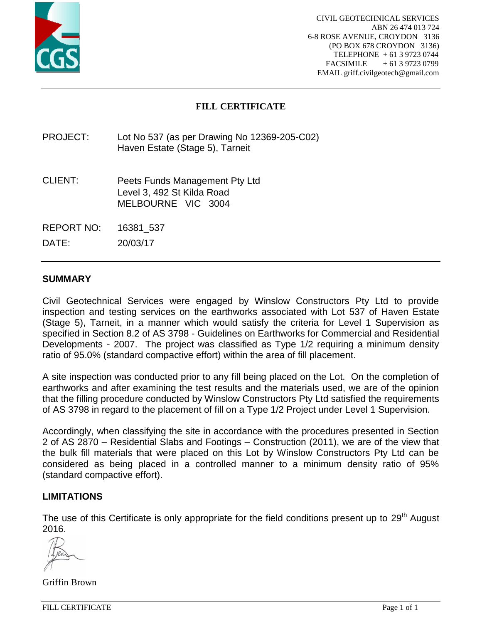![](_page_35_Picture_0.jpeg)

# **FILL CERTIFICATE**

PROJECT: Lot No 537 (as per Drawing No 12369-205-C02) Haven Estate (Stage 5), Tarneit

- CLIENT: Peets Funds Management Pty Ltd Level 3, 492 St Kilda Road MELBOURNE VIC 3004
- REPORT NO: 16381\_537

DATE: 20/03/17

## **SUMMARY**

Civil Geotechnical Services were engaged by Winslow Constructors Pty Ltd to provide inspection and testing services on the earthworks associated with Lot 537 of Haven Estate (Stage 5), Tarneit, in a manner which would satisfy the criteria for Level 1 Supervision as specified in Section 8.2 of AS 3798 - Guidelines on Earthworks for Commercial and Residential Developments - 2007. The project was classified as Type 1/2 requiring a minimum density ratio of 95.0% (standard compactive effort) within the area of fill placement.

A site inspection was conducted prior to any fill being placed on the Lot. On the completion of earthworks and after examining the test results and the materials used, we are of the opinion that the filling procedure conducted by Winslow Constructors Pty Ltd satisfied the requirements of AS 3798 in regard to the placement of fill on a Type 1/2 Project under Level 1 Supervision.

Accordingly, when classifying the site in accordance with the procedures presented in Section 2 of AS 2870 – Residential Slabs and Footings – Construction (2011), we are of the view that the bulk fill materials that were placed on this Lot by Winslow Constructors Pty Ltd can be considered as being placed in a controlled manner to a minimum density ratio of 95% (standard compactive effort).

### **LIMITATIONS**

The use of this Certificate is only appropriate for the field conditions present up to 29<sup>th</sup> August 2016.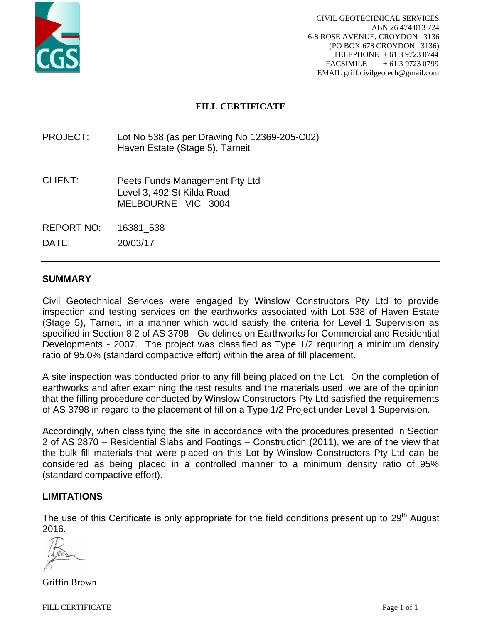![](_page_36_Picture_0.jpeg)

# **FILL CERTIFICATE**

PROJECT: Lot No 538 (as per Drawing No 12369-205-C02) Haven Estate (Stage 5), Tarneit

- CLIENT: Peets Funds Management Pty Ltd Level 3, 492 St Kilda Road MELBOURNE VIC 3004
- REPORT NO: 16381\_538

DATE: 20/03/17

### **SUMMARY**

Civil Geotechnical Services were engaged by Winslow Constructors Pty Ltd to provide inspection and testing services on the earthworks associated with Lot 538 of Haven Estate (Stage 5), Tarneit, in a manner which would satisfy the criteria for Level 1 Supervision as specified in Section 8.2 of AS 3798 - Guidelines on Earthworks for Commercial and Residential Developments - 2007. The project was classified as Type 1/2 requiring a minimum density ratio of 95.0% (standard compactive effort) within the area of fill placement.

A site inspection was conducted prior to any fill being placed on the Lot. On the completion of earthworks and after examining the test results and the materials used, we are of the opinion that the filling procedure conducted by Winslow Constructors Pty Ltd satisfied the requirements of AS 3798 in regard to the placement of fill on a Type 1/2 Project under Level 1 Supervision.

Accordingly, when classifying the site in accordance with the procedures presented in Section 2 of AS 2870 – Residential Slabs and Footings – Construction (2011), we are of the view that the bulk fill materials that were placed on this Lot by Winslow Constructors Pty Ltd can be considered as being placed in a controlled manner to a minimum density ratio of 95% (standard compactive effort).

### **LIMITATIONS**

The use of this Certificate is only appropriate for the field conditions present up to 29<sup>th</sup> August 2016.